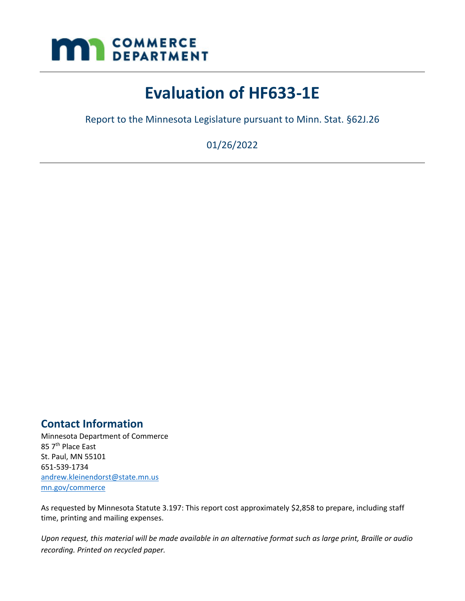<span id="page-0-0"></span>

# **Evaluation of HF633-1E**

Report to the Minnesota Legislature pursuant to Minn. Stat. §62J.26

01/26/2022

# <span id="page-0-1"></span>**Contact Information**

Minnesota Department of Commerce 85 7<sup>th</sup> Place East St. Paul, MN 55101 651-539-1734 [andrew.kleinendorst@state.mn.us](mailto:andrew.kleinendorst@state.mn.us) [mn.gov/commerce](http://)

As requested by Minnesota Statute 3.197: This report cost approximately \$2,858 to prepare, including staff time, printing and mailing expenses.

*Upon request, this material will be made available in an alternative format such as large print, Braille or audio recording. Printed on recycled paper.*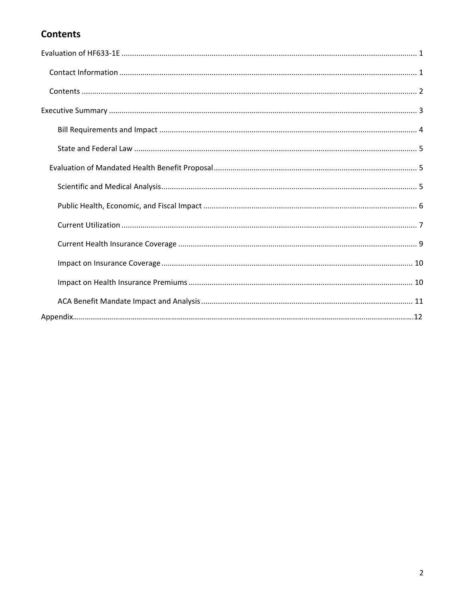# <span id="page-1-0"></span>**Contents**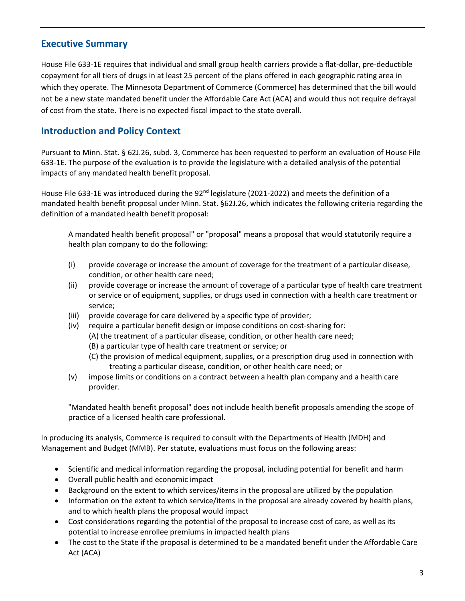#### <span id="page-2-0"></span>**Executive Summary**

House File 633-1E requires that individual and small group health carriers provide a flat-dollar, pre-deductible copayment for all tiers of drugs in at least 25 percent of the plans offered in each geographic rating area in which they operate. The Minnesota Department of Commerce (Commerce) has determined that the bill would not be a new state mandated benefit under the Affordable Care Act (ACA) and would thus not require defrayal of cost from the state. There is no expected fiscal impact to the state overall.

#### **Introduction and Policy Context**

Pursuant to Minn. Stat. § 62J.26, subd. 3, Commerce has been requested to perform an evaluation of House File 633-1E. The purpose of the evaluation is to provide the legislature with a detailed analysis of the potential impacts of any mandated health benefit proposal.

House File 633-1E was introduced during the  $92<sup>nd</sup>$  legislature (2021-2022) and meets the definition of a mandated health benefit proposal under Minn. Stat. §62J.26, which indicates the following criteria regarding the definition of a mandated health benefit proposal:

A mandated health benefit proposal" or "proposal" means a proposal that would statutorily require a health plan company to do the following:

- (i) provide coverage or increase the amount of coverage for the treatment of a particular disease, condition, or other health care need;
- (ii) provide coverage or increase the amount of coverage of a particular type of health care treatment or service or of equipment, supplies, or drugs used in connection with a health care treatment or service;
- (iii) provide coverage for care delivered by a specific type of provider;
- (iv) require a particular benefit design or impose conditions on cost-sharing for:
	- (A) the treatment of a particular disease, condition, or other health care need;
	- (B) a particular type of health care treatment or service; or
	- (C) the provision of medical equipment, supplies, or a prescription drug used in connection with treating a particular disease, condition, or other health care need; or
- (v) impose limits or conditions on a contract between a health plan company and a health care provider.

"Mandated health benefit proposal" does not include health benefit proposals amending the scope of practice of a licensed health care professional.

In producing its analysis, Commerce is required to consult with the Departments of Health (MDH) and Management and Budget (MMB). Per statute, evaluations must focus on the following areas:

- Scientific and medical information regarding the proposal, including potential for benefit and harm
- Overall public health and economic impact
- Background on the extent to which services/items in the proposal are utilized by the population
- Information on the extent to which service/items in the proposal are already covered by health plans, and to which health plans the proposal would impact
- Cost considerations regarding the potential of the proposal to increase cost of care, as well as its potential to increase enrollee premiums in impacted health plans
- The cost to the State if the proposal is determined to be a mandated benefit under the Affordable Care Act (ACA)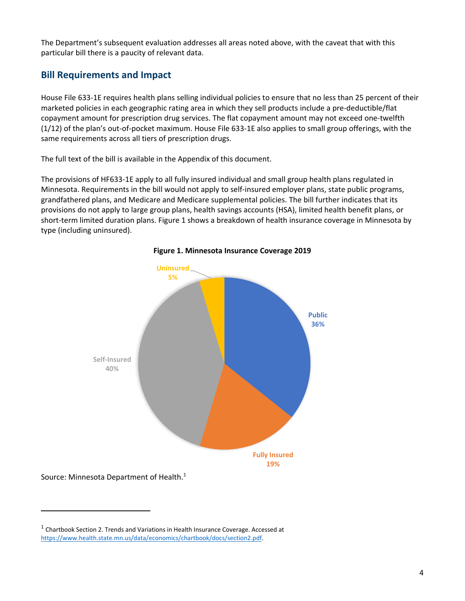The Department's subsequent evaluation addresses all areas noted above, with the caveat that with this particular bill there is a paucity of relevant data.

#### <span id="page-3-0"></span>**Bill Requirements and Impact**

House File 633-1E requires health plans selling individual policies to ensure that no less than 25 percent of their marketed policies in each geographic rating area in which they sell products include a pre-deductible/flat copayment amount for prescription drug services. The flat copayment amount may not exceed one-twelfth (1/12) of the plan's out-of-pocket maximum. House File 633-1E also applies to small group offerings, with the same requirements across all tiers of prescription drugs.

The full text of the bill is available in the Appendix of this document.

The provisions of HF633-1E apply to all fully insured individual and small group health plans regulated in Minnesota. Requirements in the bill would not apply to self-insured employer plans, state public programs, grandfathered plans, and Medicare and Medicare supplemental policies. The bill further indicates that its provisions do not apply to large group plans, health savings accounts (HSA), limited health benefit plans, or short-term limited duration plans. Figure 1 shows a breakdown of health insurance coverage in Minnesota by type (including uninsured).





Source: Minnesota Department of Health.<sup>1</sup>

 $<sup>1</sup>$  Chartbook Section 2. Trends and Variations in Health Insurance Coverage. Accessed at</sup> [https://www.health.state.mn.us/data/economics/chartbook/docs/section2.pdf.](https://www.health.state.mn.us/data/economics/chartbook/docs/section2.pdf)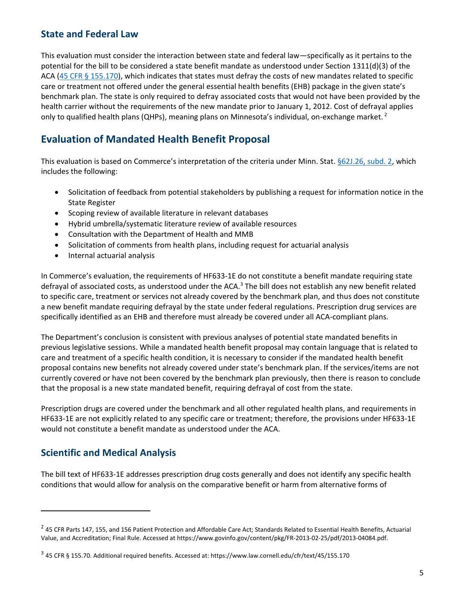#### <span id="page-4-0"></span>**State and Federal Law**

This evaluation must consider the interaction between state and federal law—specifically as it pertains to the potential for the bill to be considered a state benefit mandate as understood under Section 1311(d)(3) of the ACA [\(45 CFR § 155.170\)](https://www.law.cornell.edu/cfr/text/45/155.170), which indicates that states must defray the costs of new mandates related to specific care or treatment not offered under the general essential health benefits (EHB) package in the given state's benchmark plan. The state is only required to defray associated costs that would not have been provided by the health carrier without the requirements of the new mandate prior to January 1, 2012. Cost of defrayal applies only to qualified health plans (QHPs), meaning plans on Minnesota's individual, on-exchange market.<sup>2</sup>

# <span id="page-4-1"></span>**Evaluation of Mandated Health Benefit Proposal**

This evaluation is based on Commerce's interpretation of the criteria under Minn. Stat. [§62J.26, subd. 2,](https://www.revisor.mn.gov/statutes/cite/62J.26#stat.62J.26.2) which includes the following:

- Solicitation of feedback from potential stakeholders by publishing a request for information notice in the State Register
- Scoping review of available literature in relevant databases
- Hybrid umbrella/systematic literature review of available resources
- Consultation with the Department of Health and MMB
- Solicitation of comments from health plans, including request for actuarial analysis
- Internal actuarial analysis

In Commerce's evaluation, the requirements of HF633-1E do not constitute a benefit mandate requiring state defrayal of associated costs, as understood under the ACA.<sup>3</sup> The bill does not establish any new benefit related to specific care, treatment or services not already covered by the benchmark plan, and thus does not constitute a new benefit mandate requiring defrayal by the state under federal regulations. Prescription drug services are specifically identified as an EHB and therefore must already be covered under all ACA-compliant plans.

The Department's conclusion is consistent with previous analyses of potential state mandated benefits in previous legislative sessions. While a mandated health benefit proposal may contain language that is related to care and treatment of a specific health condition, it is necessary to consider if the mandated health benefit proposal contains new benefits not already covered under state's benchmark plan. If the services/items are not currently covered or have not been covered by the benchmark plan previously, then there is reason to conclude that the proposal is a new state mandated benefit, requiring defrayal of cost from the state.

Prescription drugs are covered under the benchmark and all other regulated health plans, and requirements in HF633-1E are not explicitly related to any specific care or treatment; therefore, the provisions under HF633-1E would not constitute a benefit mandate as understood under the ACA.

#### <span id="page-4-2"></span>**Scientific and Medical Analysis**

The bill text of HF633-1E addresses prescription drug costs generally and does not identify any specific health conditions that would allow for analysis on the comparative benefit or harm from alternative forms of

 $^2$  45 CFR Parts 147, 155, and 156 Patient Protection and Affordable Care Act; Standards Related to Essential Health Benefits, Actuarial Value, and Accreditation; Final Rule. Accessed at https://www.govinfo.gov/content/pkg/FR-2013-02-25/pdf/2013-04084.pdf.

<sup>3</sup> 45 CFR § 155.70. Additional required benefits. Accessed at: https://www.law.cornell.edu/cfr/text/45/155.170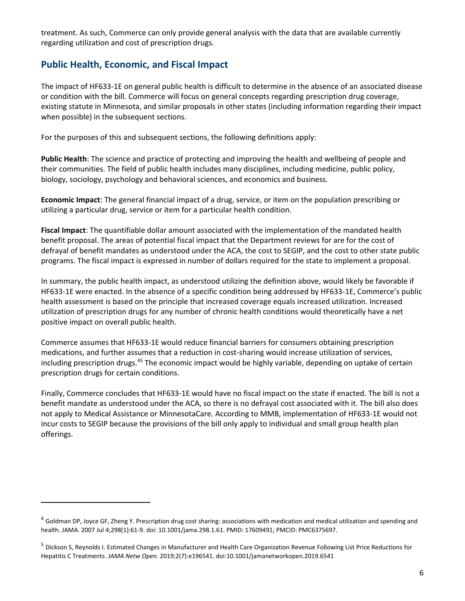treatment. As such, Commerce can only provide general analysis with the data that are available currently regarding utilization and cost of prescription drugs.

#### <span id="page-5-0"></span>**Public Health, Economic, and Fiscal Impact**

The impact of HF633-1E on general public health is difficult to determine in the absence of an associated disease or condition with the bill. Commerce will focus on general concepts regarding prescription drug coverage, existing statute in Minnesota, and similar proposals in other states (including information regarding their impact when possible) in the subsequent sections.

For the purposes of this and subsequent sections, the following definitions apply:

**Public Health**: The science and practice of protecting and improving the health and wellbeing of people and their communities. The field of public health includes many disciplines, including medicine, public policy, biology, sociology, psychology and behavioral sciences, and economics and business.

**Economic Impact**: The general financial impact of a drug, service, or item on the population prescribing or utilizing a particular drug, service or item for a particular health condition.

**Fiscal Impact**: The quantifiable dollar amount associated with the implementation of the mandated health benefit proposal. The areas of potential fiscal impact that the Department reviews for are for the cost of defrayal of benefit mandates as understood under the ACA, the cost to SEGIP, and the cost to other state public programs. The fiscal impact is expressed in number of dollars required for the state to implement a proposal.

In summary, the public health impact, as understood utilizing the definition above, would likely be favorable if HF633-1E were enacted. In the absence of a specific condition being addressed by HF633-1E, Commerce's public health assessment is based on the principle that increased coverage equals increased utilization. Increased utilization of prescription drugs for any number of chronic health conditions would theoretically have a net positive impact on overall public health.

Commerce assumes that HF633-1E would reduce financial barriers for consumers obtaining prescription medications, and further assumes that a reduction in cost-sharing would increase utilization of services, including prescription drugs.<sup>45</sup> The economic impact would be highly variable, depending on uptake of certain prescription drugs for certain conditions.

Finally, Commerce concludes that HF633-1E would have no fiscal impact on the state if enacted. The bill is not a benefit mandate as understood under the ACA, so there is no defrayal cost associated with it. The bill also does not apply to Medical Assistance or MinnesotaCare. According to MMB, implementation of HF633-1E would not incur costs to SEGIP because the provisions of the bill only apply to individual and small group health plan offerings.

<sup>&</sup>lt;sup>4</sup> Goldman DP, Joyce GF, Zheng Y. Prescription drug cost sharing: associations with medication and medical utilization and spending and health. JAMA. 2007 Jul 4;298(1):61-9. doi: 10.1001/jama.298.1.61. PMID: 17609491; PMCID: PMC6375697.

<sup>5</sup> Dickson S, Reynolds I. Estimated Changes in Manufacturer and Health Care Organization Revenue Following List Price Reductions for Hepatitis C Treatments. *JAMA Netw Open.* 2019;2(7):e196541. doi:10.1001/jamanetworkopen.2019.6541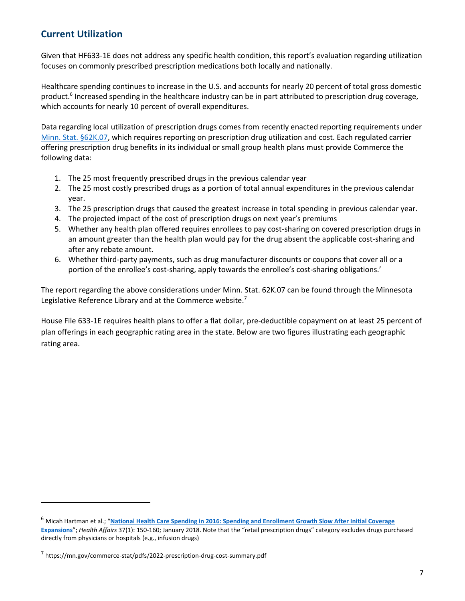### <span id="page-6-0"></span>**Current Utilization**

Given that HF633-1E does not address any specific health condition, this report's evaluation regarding utilization focuses on commonly prescribed prescription medications both locally and nationally.

Healthcare spending continues to increase in the U.S. and accounts for nearly 20 percent of total gross domestic product.<sup>6</sup> Increased spending in the healthcare industry can be in part attributed to prescription drug coverage, which accounts for nearly 10 percent of overall expenditures.

Data regarding local utilization of prescription drugs comes from recently enacted reporting requirements under [Minn. Stat. §62K.07,](https://www.revisor.mn.gov/statutes/cite/62K.07) which requires reporting on prescription drug utilization and cost. Each regulated carrier offering prescription drug benefits in its individual or small group health plans must provide Commerce the following data:

- 1. The 25 most frequently prescribed drugs in the previous calendar year
- 2. The 25 most costly prescribed drugs as a portion of total annual expenditures in the previous calendar year.
- 3. The 25 prescription drugs that caused the greatest increase in total spending in previous calendar year.
- 4. The projected impact of the cost of prescription drugs on next year's premiums
- 5. Whether any health plan offered requires enrollees to pay cost-sharing on covered prescription drugs in an amount greater than the health plan would pay for the drug absent the applicable cost-sharing and after any rebate amount.
- 6. Whether third-party payments, such as drug manufacturer discounts or coupons that cover all or a portion of the enrollee's cost-sharing, apply towards the enrollee's cost-sharing obligations.'

The report regarding the above considerations under Minn. Stat. 62K.07 can be found through the Minnesota Legislative Reference Library and at the Commerce website.<sup>7</sup>

House File 633-1E requires health plans to offer a flat dollar, pre-deductible copayment on at least 25 percent of plan offerings in each geographic rating area in the state. Below are two figures illustrating each geographic rating area.

<sup>6</sup> Micah Hartman et al.; "**[National Health Care Spending in 2016: Spending and Enrollment Growth Slow After Initial Coverage](https://www.healthaffairs.org/doi/pdf/10.1377/hlthaff.2017.1299)  [Expansions](https://www.healthaffairs.org/doi/pdf/10.1377/hlthaff.2017.1299)**"; *Health Affairs* 37(1): 150-160; January 2018. Note that the "retail prescription drugs" category excludes drugs purchased directly from physicians or hospitals (e.g., infusion drugs)

<sup>&</sup>lt;sup>7</sup> https://mn.gov/commerce-stat/pdfs/2022-prescription-drug-cost-summary.pdf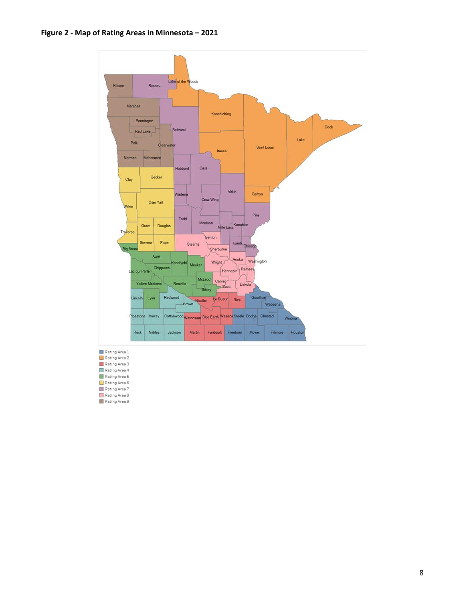#### **Figure 2 - Map of Rating Areas in Minnesota – 2021**



- **Example Area 1**<br> **Example Area 2** Rating Area 3 Rating Area 4 Rating Area 5 Rating Area 6<br>Rating Area 7
- Rating Area 8
-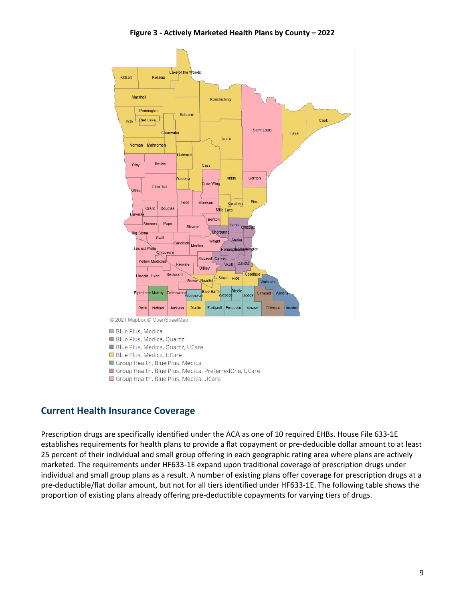**Figure 3 - Actively Marketed Health Plans by County – 2022**



#### Group Health, Blue Plus, Medica, UCare

#### <span id="page-8-0"></span>**Current Health Insurance Coverage**

Prescription drugs are specifically identified under the ACA as one of 10 required EHBs. House File 633-1E establishes requirements for health plans to provide a flat copayment or pre-deducible dollar amount to at least 25 percent of their individual and small group offering in each geographic rating area where plans are actively marketed. The requirements under HF633-1E expand upon traditional coverage of prescription drugs under individual and small group plans as a result. A number of existing plans offer coverage for prescription drugs at a pre-deductible/flat dollar amount, but not for all tiers identified under HF633-1E. The following table shows the proportion of existing plans already offering pre-deductible copayments for varying tiers of drugs.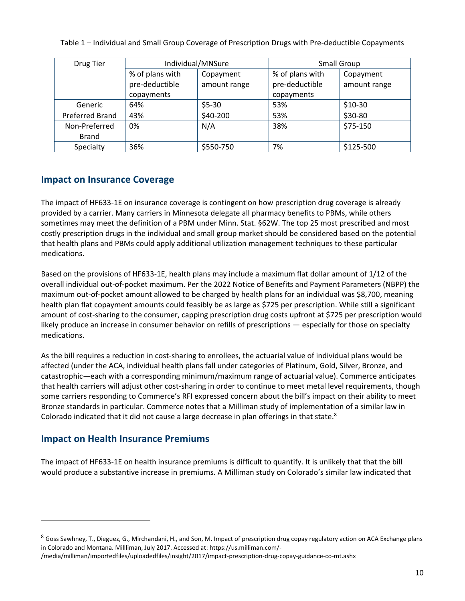Table 1 – Individual and Small Group Coverage of Prescription Drugs with Pre-deductible Copayments

| Drug Tier       | Individual/MNSure |              | Small Group     |              |
|-----------------|-------------------|--------------|-----------------|--------------|
|                 | % of plans with   | Copayment    | % of plans with | Copayment    |
|                 | pre-deductible    | amount range | pre-deductible  | amount range |
|                 | copayments        |              | copayments      |              |
| Generic         | 64%               | $$5-30$      | 53%             | $$10-30$     |
| Preferred Brand | 43%               | \$40-200     | 53%             | \$30-80      |
| Non-Preferred   | 0%                | N/A          | 38%             | \$75-150     |
| <b>Brand</b>    |                   |              |                 |              |
| Specialty       | 36%               | \$550-750    | 7%              | \$125-500    |

#### <span id="page-9-0"></span>**Impact on Insurance Coverage**

The impact of HF633-1E on insurance coverage is contingent on how prescription drug coverage is already provided by a carrier. Many carriers in Minnesota delegate all pharmacy benefits to PBMs, while others sometimes may meet the definition of a PBM under Minn. Stat. §62W. The top 25 most prescribed and most costly prescription drugs in the individual and small group market should be considered based on the potential that health plans and PBMs could apply additional utilization management techniques to these particular medications.

Based on the provisions of HF633-1E, health plans may include a maximum flat dollar amount of 1/12 of the overall individual out-of-pocket maximum. Per the 2022 Notice of Benefits and Payment Parameters (NBPP) the maximum out-of-pocket amount allowed to be charged by health plans for an individual was \$8,700, meaning health plan flat copayment amounts could feasibly be as large as \$725 per prescription. While still a significant amount of cost-sharing to the consumer, capping prescription drug costs upfront at \$725 per prescription would likely produce an increase in consumer behavior on refills of prescriptions — especially for those on specialty medications.

As the bill requires a reduction in cost-sharing to enrollees, the actuarial value of individual plans would be affected (under the ACA, individual health plans fall under categories of Platinum, Gold, Silver, Bronze, and catastrophic—each with a corresponding minimum/maximum range of actuarial value). Commerce anticipates that health carriers will adjust other cost-sharing in order to continue to meet metal level requirements, though some carriers responding to Commerce's RFI expressed concern about the bill's impact on their ability to meet Bronze standards in particular. Commerce notes that a Milliman study of implementation of a similar law in Colorado indicated that it did not cause a large decrease in plan offerings in that state.<sup>8</sup>

#### <span id="page-9-1"></span>**Impact on Health Insurance Premiums**

The impact of HF633-1E on health insurance premiums is difficult to quantify. It is unlikely that that the bill would produce a substantive increase in premiums. A Milliman study on Colorado's similar law indicated that

 $8$  Goss Sawhney, T., Dieguez, G., Mirchandani, H., and Son, M. Impact of prescription drug copay regulatory action on ACA Exchange plans in Colorado and Montana. Millliman, July 2017. Accessed at: https://us.milliman.com/-

<sup>/</sup>media/milliman/importedfiles/uploadedfiles/insight/2017/impact-prescription-drug-copay-guidance-co-mt.ashx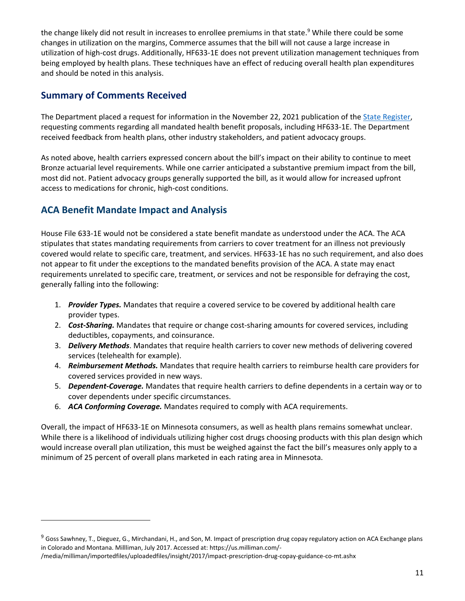the change likely did not result in increases to enrollee premiums in that state.<sup>9</sup> While there could be some changes in utilization on the margins, Commerce assumes that the bill will not cause a large increase in utilization of high-cost drugs. Additionally, HF633-1E does not prevent utilization management techniques from being employed by health plans. These techniques have an effect of reducing overall health plan expenditures and should be noted in this analysis.

#### **Summary of Comments Received**

The Department placed a request for information in the November 22, 2021 publication of the [State Register,](https://mn.gov/admin/assets/SR46_21%20-%20Accessible_tcm36-509638.pdf) requesting comments regarding all mandated health benefit proposals, including HF633-1E. The Department received feedback from health plans, other industry stakeholders, and patient advocacy groups.

As noted above, health carriers expressed concern about the bill's impact on their ability to continue to meet Bronze actuarial level requirements. While one carrier anticipated a substantive premium impact from the bill, most did not. Patient advocacy groups generally supported the bill, as it would allow for increased upfront access to medications for chronic, high-cost conditions.

## <span id="page-10-0"></span>**ACA Benefit Mandate Impact and Analysis**

House File 633-1E would not be considered a state benefit mandate as understood under the ACA. The ACA stipulates that states mandating requirements from carriers to cover treatment for an illness not previously covered would relate to specific care, treatment, and services. HF633-1E has no such requirement, and also does not appear to fit under the exceptions to the mandated benefits provision of the ACA. A state may enact requirements unrelated to specific care, treatment, or services and not be responsible for defraying the cost, generally falling into the following:

- 1. *Provider Types.* Mandates that require a covered service to be covered by additional health care provider types.
- 2. *Cost-Sharing.* Mandates that require or change cost-sharing amounts for covered services, including deductibles, copayments, and coinsurance.
- 3. *Delivery Methods*. Mandates that require health carriers to cover new methods of delivering covered services (telehealth for example).
- 4. *Reimbursement Methods.* Mandates that require health carriers to reimburse health care providers for covered services provided in new ways.
- 5. *Dependent-Coverage.* Mandates that require health carriers to define dependents in a certain way or to cover dependents under specific circumstances.
- 6. *ACA Conforming Coverage.* Mandates required to comply with ACA requirements.

Overall, the impact of HF633-1E on Minnesota consumers, as well as health plans remains somewhat unclear. While there is a likelihood of individuals utilizing higher cost drugs choosing products with this plan design which would increase overall plan utilization, this must be weighed against the fact the bill's measures only apply to a minimum of 25 percent of overall plans marketed in each rating area in Minnesota.

<sup>&</sup>lt;sup>9</sup> Goss Sawhney, T., Dieguez, G., Mirchandani, H., and Son, M. Impact of prescription drug copay regulatory action on ACA Exchange plans in Colorado and Montana. Millliman, July 2017. Accessed at: https://us.milliman.com/-

<sup>/</sup>media/milliman/importedfiles/uploadedfiles/insight/2017/impact-prescription-drug-copay-guidance-co-mt.ashx